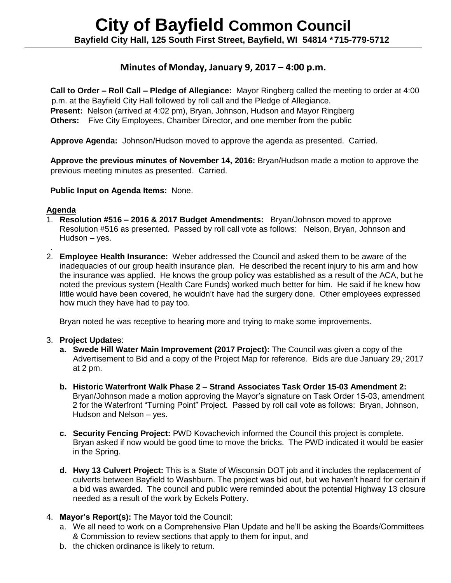# **Minutes of Monday, January 9, 2017 – 4:00 p.m.**

**Call to Order – Roll Call – Pledge of Allegiance:** Mayor Ringberg called the meeting to order at 4:00 p.m. at the Bayfield City Hall followed by roll call and the Pledge of Allegiance. **Present:** Nelson (arrived at 4:02 pm), Bryan, Johnson, Hudson and Mayor Ringberg **Others:** Five City Employees, Chamber Director, and one member from the public

**Approve Agenda:** Johnson/Hudson moved to approve the agenda as presented. Carried.

**Approve the previous minutes of November 14, 2016:** Bryan/Hudson made a motion to approve the previous meeting minutes as presented. Carried.

**Public Input on Agenda Items:** None.

#### **Agenda**

.

- 1. **Resolution #516 – 2016 & 2017 Budget Amendments:** Bryan/Johnson moved to approve Resolution #516 as presented. Passed by roll call vote as follows: Nelson, Bryan, Johnson and Hudson – yes.
- 2. **Employee Health Insurance:** Weber addressed the Council and asked them to be aware of the inadequacies of our group health insurance plan. He described the recent injury to his arm and how the insurance was applied. He knows the group policy was established as a result of the ACA, but he noted the previous system (Health Care Funds) worked much better for him. He said if he knew how little would have been covered, he wouldn't have had the surgery done. Other employees expressed how much they have had to pay too.

Bryan noted he was receptive to hearing more and trying to make some improvements.

### 3. **Project Updates**:

- **a. Swede Hill Water Main Improvement (2017 Project):** The Council was given a copy of the Advertisement to Bid and a copy of the Project Map for reference. Bids are due January 29, 2017 at 2 pm.
- **b. Historic Waterfront Walk Phase 2 – Strand Associates Task Order 15-03 Amendment 2:** Bryan/Johnson made a motion approving the Mayor's signature on Task Order 15-03, amendment 2 for the Waterfront "Turning Point" Project. Passed by roll call vote as follows: Bryan, Johnson, Hudson and Nelson – yes.
- **c. Security Fencing Project:** PWD Kovachevich informed the Council this project is complete. Bryan asked if now would be good time to move the bricks. The PWD indicated it would be easier in the Spring.
- **d. Hwy 13 Culvert Project:** This is a State of Wisconsin DOT job and it includes the replacement of culverts between Bayfield to Washburn. The project was bid out, but we haven't heard for certain if a bid was awarded. The council and public were reminded about the potential Highway 13 closure needed as a result of the work by Eckels Pottery.
- 4. **Mayor's Report(s):** The Mayor told the Council:
	- a. We all need to work on a Comprehensive Plan Update and he'll be asking the Boards/Committees & Commission to review sections that apply to them for input, and
	- b. the chicken ordinance is likely to return.